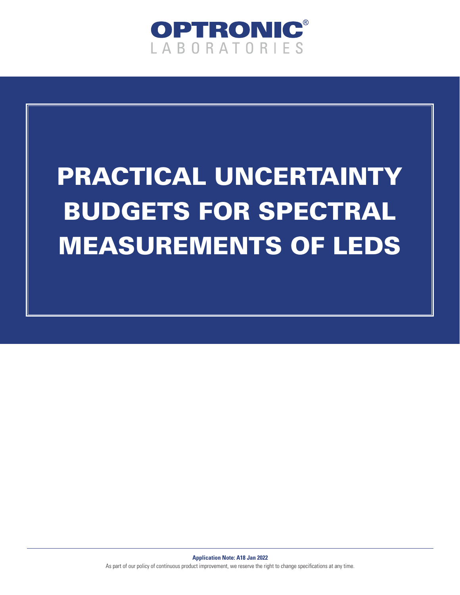

# PRACTICAL UNCERTAINTY BUDGETS FOR SPECTRAL MEASUREMENTS OF LEDS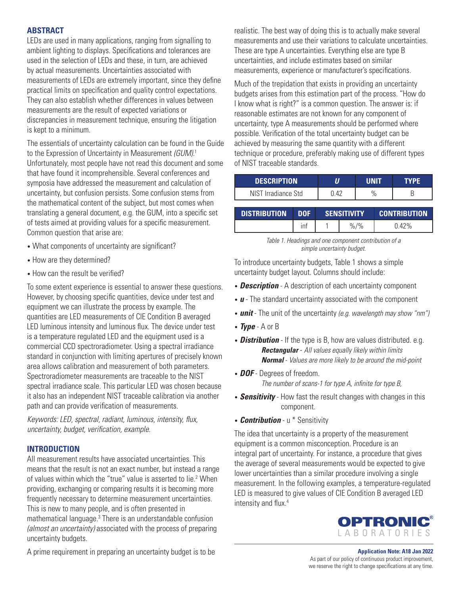#### **ABSTRACT**

LEDs are used in many applications, ranging from signalling to ambient lighting to displays. Specifications and tolerances are used in the selection of LEDs and these, in turn, are achieved by actual measurements. Uncertainties associated with measurements of LEDs are extremely important, since they define practical limits on specification and quality control expectations. They can also establish whether differences in values between measurements are the result of expected variations or discrepancies in measurement technique, ensuring the litigation is kept to a minimum.

The essentials of uncertainty calculation can be found in the Guide to the Expression of Uncertainty in Measurement *(GUM).*<sup>1</sup> Unfortunately, most people have not read this document and some that have found it incomprehensible. Several conferences and symposia have addressed the measurement and calculation of uncertainty, but confusion persists. Some confusion stems from the mathematical content of the subject, but most comes when translating a general document, e.g. the GUM, into a specific set of tests aimed at providing values for a specific measurement. Common question that arise are:

- What components of uncertainty are significant?
- How are they determined?
- How can the result be verified?

To some extent experience is essential to answer these questions. However, by choosing specific quantities, device under test and equipment we can illustrate the process by example. The quantities are LED measurements of CIE Condition B averaged LED luminous intensity and luminous flux. The device under test is a temperature regulated LED and the equipment used is a commercial CCD spectroradiometer. Using a spectral irradiance standard in conjunction with limiting apertures of precisely known area allows calibration and measurement of both parameters. Spectroradiometer measurements are traceable to the NIST spectral irradiance scale. This particular LED was chosen because it also has an independent NIST traceable calibration via another path and can provide verification of measurements.

*Keywords: LED, spectral, radiant, luminous, intensity, flux, uncertainty, budget, verification, example.*

## **INTRODUCTION**

All measurement results have associated uncertainties. This means that the result is not an exact number, but instead a range of values within which the "true" value is asserted to lie.<sup>2</sup> When providing, exchanging or comparing results it is becoming more frequently necessary to determine measurement uncertainties. This is new to many people, and is often presented in mathematical language.<sup>3</sup> There is an understandable confusion *(almost an uncertainty)* associated with the process of preparing uncertainty budgets.

A prime requirement in preparing an uncertainty budget is to be

realistic. The best way of doing this is to actually make several measurements and use their variations to calculate uncertainties. These are type A uncertainties. Everything else are type B uncertainties, and include estimates based on similar measurements, experience or manufacturer's specifications.

Much of the trepidation that exists in providing an uncertainty budgets arises from this estimation part of the process. "How do I know what is right?" is a common question. The answer is: if reasonable estimates are not known for any component of uncertainty, type A measurements should be performed where possible. Verification of the total uncertainty budget can be achieved by measuring the same quantity with a different technique or procedure, preferably making use of different types of NIST traceable standards.

| <b>DESCRIPTION</b>  |      | INIT | <b>YPF</b> |
|---------------------|------|------|------------|
| NIST Irradiance Std | , 42 |      |            |
|                     |      |      |            |

| <b>DISTRIBUTION</b> | <b>DOF</b> |  | <b>SENSITIVITY</b> | <b>CONTRIBUTION</b> |  |  |
|---------------------|------------|--|--------------------|---------------------|--|--|
|                     | ınt        |  | $/$ %<br>$\%$      | 7%                  |  |  |

*Table 1. Headings and one component contribution of a simple uncertainty budget.*

To introduce uncertainty budgets, Table 1 shows a simple uncertainty budget layout. Columns should include:

- *Description* A description of each uncertainty component
- *u* The standard uncertainty associated with the component
- *unit* The unit of the uncertainty *(e.g. wavelength may show "nm")*
- *Type*  A or B
- *Distribution*  If the type is B, how are values distributed. e.g. *Rectangular* - *All values equally likely within limits Normal* - *Values are more likely to be around the mid-point*
- *DOF*  Degrees of freedom. *The number of scans-1 for type A, infinite for type B,*
- *Sensitivity*  How fast the result changes with changes in this component.
- *Contribution*  u \* Sensitivity

The idea that uncertainty is a property of the measurement equipment is a common misconception. Procedure is an integral part of uncertainty. For instance, a procedure that gives the average of several measurements would be expected to give lower uncertainties than a similar procedure involving a single measurement. In the following examples, a temperature-regulated LED is measured to give values of CIE Condition B averaged LED intensity and flux.<sup>4</sup>

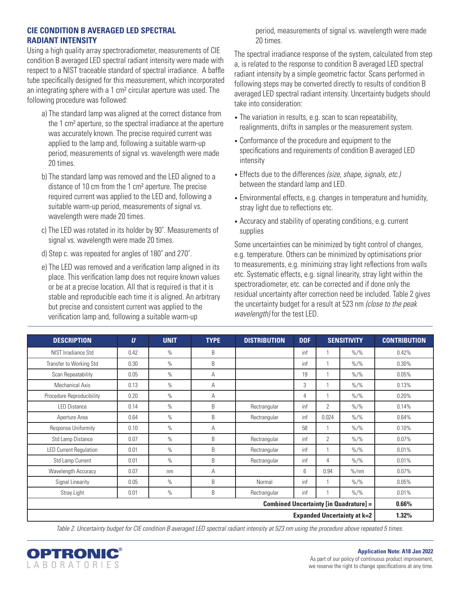#### **CIE CONDITION B AVERAGED LED SPECTRAL RADIANT INTENSITY**

Using a high quality array spectroradiometer, measurements of CIE condition B averaged LED spectral radiant intensity were made with respect to a NIST traceable standard of spectral irradiance. A baffle tube specifically designed for this measurement, which incorporated an integrating sphere with a 1 cm² circular aperture was used. The following procedure was followed:

- a) The standard lamp was aligned at the correct distance from the 1 cm² aperture, so the spectral irradiance at the aperture was accurately known. The precise required current was applied to the lamp and, following a suitable warm-up period, measurements of signal vs. wavelength were made 20 times.
- b) The standard lamp was removed and the LED aligned to a distance of 10 cm from the 1 cm² aperture. The precise required current was applied to the LED and, following a suitable warm-up period, measurements of signal vs. wavelength were made 20 times.
- c) The LED was rotated in its holder by 90˚. Measurements of signal vs. wavelength were made 20 times.
- d) Step c. was repeated for angles of 180˚ and 270˚.
- e) The LED was removed and a verification lamp aligned in its place. This verification lamp does not require known values or be at a precise location. All that is required is that it is stable and reproducible each time it is aligned. An arbitrary but precise and consistent current was applied to the verification lamp and, following a suitable warm-up

 period, measurements of signal vs. wavelength were made 20 times.

The spectral irradiance response of the system, calculated from step a, is related to the response to condition B averaged LED spectral radiant intensity by a simple geometric factor. Scans performed in following steps may be converted directly to results of condition B averaged LED spectral radiant intensity. Uncertainty budgets should take into consideration:

- The variation in results, e.g. scan to scan repeatability, realignments, drifts in samples or the measurement system.
- Conformance of the procedure and equipment to the specifications and requirements of condition B averaged LED intensity
- Effects due to the differences *(size, shape, signals, etc.)* between the standard lamp and LED.
- Environmental effects, e.g. changes in temperature and humidity, stray light due to reflections etc.
- Accuracy and stability of operating conditions, e.g. current supplies

Some uncertainties can be minimized by tight control of changes, e.g. temperature. Others can be minimized by optimisations prior to measurements, e.g. minimizing stray light reflections from walls etc. Systematic effects, e.g. signal linearity, stray light within the spectroradiometer, etc. can be corrected and if done only the residual uncertainty after correction need be included. Table 2 gives the uncertainty budget for a result at 523 nm *(close to the peak wavelength)* for the test LED.

| <b>DESCRIPTION</b>                            | $\boldsymbol{U}$ | <b>UNIT</b>   | <b>TYPE</b> | <b>DISTRIBUTION</b>                     | <b>DOF</b> | <b>SENSITIVITY</b> |                        | <b>CONTRIBUTION</b> |  |
|-----------------------------------------------|------------------|---------------|-------------|-----------------------------------------|------------|--------------------|------------------------|---------------------|--|
| NIST Irradiance Std                           | 0.42             | $\%$          | B           |                                         | inf        |                    | $\frac{9}{6}$ /%       | 0.42%               |  |
| Transfer to Working Std                       | 0.30             | $\%$          | B           |                                         | inf        | 1                  | $\frac{9}{6}$ /%       | 0.30%               |  |
| Scan Repeatability                            | 0.05             | $\%$          | A           |                                         | 19         |                    | $\frac{9}{6}$ /%       | 0.05%               |  |
| Mechanical Axis                               | 0.13             | $\frac{0}{0}$ | Α           |                                         | 3          |                    | $\frac{9}{6}$ /%       | 0.13%               |  |
| Procedure Reproducibility                     | 0.20             | $\frac{0}{0}$ | Α           |                                         | 4          |                    | $\frac{9}{6}$ /%       | 0.20%               |  |
| <b>LED Distance</b>                           | 0.14             | $\%$          | B           | Rectrangular                            | inf        | $\overline{2}$     | $\frac{9}{6}$ /%       | 0.14%               |  |
| Aperture Area                                 | 0.64             | $\%$          | B           | Rectrangular                            | inf        | 0.024              | $\frac{9}{6}$ /%       | 0.64%               |  |
| Response Uniformity                           | 0.10             | $\%$          | Α           |                                         | 58         |                    | $\frac{9}{6}$ /%       | 0.10%               |  |
| Std Lamp Distance                             | 0.07             | $\%$          | B           | Rectrangular                            | inf        | $\overline{2}$     | $\frac{9}{6}$ /%       | 0.07%               |  |
| <b>LED Current Regulation</b>                 | 0.01             | $\%$          | B           | Rectrangular                            | inf        | $\overline{1}$     | $\frac{9}{6}$ /%       | 0.01%               |  |
| Std Lamp Current                              | 0.01             | $\%$          | B           | Rectrangular                            | inf        | 4                  | $\frac{9}{6}$ /%       | 0.01%               |  |
| Wavelength Accuracy                           | 0.07             | nm            | Α           |                                         | 6          | 0.94               | $\frac{\%}{\text{nm}}$ | 0.07%               |  |
| Signal Linearity                              | 0.05             | $\%$          | B           | Normal                                  | inf        |                    | $\frac{9}{6}$ /%       | 0.05%               |  |
| Stray Light                                   | 0.01             | $\%$          | B           | Rectrangular<br>inf<br>$\frac{9}{6}$ /% |            | 0.01%              |                        |                     |  |
| <b>Combined Uncertainty [in Quadrature] =</b> |                  |               |             |                                         |            |                    |                        |                     |  |
| <b>Expanded Uncertainty at k=2</b>            |                  |               |             |                                         |            |                    |                        |                     |  |

*Table 2. Uncertainty budget for CIE condition B averaged LED spectral radiant intensity at 523 nm using the procedure above repeated 5 times.*



#### **Application Note: A18 Jan 2022**

As part of our policy of continuous product improvement, we reserve the right to change specifications at any time.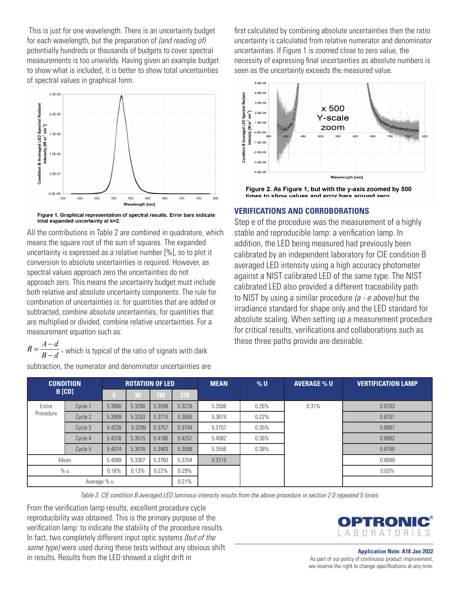This is just for one wavelength. There is an uncertainty budget for each wavelength, but the preparation of *(and reading of)*  potentially hundreds or thousands of budgets to cover spectral measurements is too unwieldy. Having given an example budget to show what is included, it is better to show total uncertainties of spectral values in graphical form.



Figure 1. Graphical representation of spectral results. Error bars indicate total expanded uncertainty at k=2.

All the contributions in Table 2 are combined in quadrature, which means the square root of the sum of squares. The expanded uncertainty is expressed as a relative number [%], so to plot it conversion to absolute uncertainties is required. However, as spectral values approach zero the uncertainties do not approach zero. This means the uncertainty budget must include both relative and absolute uncertainty components. The rule for combination of uncertainties is: for quantities that are added or subtracted, combine absolute uncertainties; for quantities that are multiplied or divided, combine relative uncertainties. For a measurement equation such as:

 $R = \frac{A-d}{B-d}$ , which is typical of the ratio of signals with dark

subtraction, the numerator and denominator uncertainties are

first calculated by combining absolute uncertainties then the ratio uncertainty is calculated from relative numerator and denominator uncertainties. If Figure 1 is zoomed close to zero value, the necessity of expressing final uncertainties as absolute numbers is seen as the uncertainty exceeds the measured value.



Figure 2. As Figure 1, but with the y-axis zoomed by 500 times to show values and error hars around zero

#### **VERIFICATIONS AND CORROBORATIONS**

Step e of the procedure was the measurement of a highly stable and reproducible lamp: a verification lamp. In addition, the LED being measured had previously been calibrated by an independent laboratory for CIE condition B averaged LED intensity using a high accuracy photometer against a NIST calibrated LED of the same type. The NIST calibrated LED also provided a different traceability path to NIST by using a similar procedure *(a - e above)* but the irradiance standard for shape only and the LED standard for absolute scaling. When setting up a measurement procedure for critical results, verifications and collaborations such as these three paths provide are desirable.

| <b>CONDITION</b> |               |        | <b>ROTATION OF LED</b> |        |        |        | $%$ U | <b>AVERAGE % U</b> | <b>VERTIFICATION LAMP</b> |
|------------------|---------------|--------|------------------------|--------|--------|--------|-------|--------------------|---------------------------|
|                  | <b>B</b> [CD] |        | 90                     | 180    | 270    |        |       |                    |                           |
| Entire           | Cycle 1       | 5.3860 | 5.3290                 | 5.3598 | 5.3276 | 5.3506 | 0.26% | 0.31%              | 0.6703                    |
| Procedure        | Cycle 2       | 5.3909 | 5.3353                 | 5.3774 | 5.3660 | 5.3674 | 0.22% |                    | 0.6701                    |
|                  | Cycle 3       | 5.4228 | 5.3299                 | 5.3757 | 5.3744 | 5.3757 | 0.35% |                    | 0.6697                    |
|                  | Cycle 4       | 5.4376 | 5.3515                 | 5.4186 | 5.4251 | 5.4082 | 0.36% |                    | 0.6692                    |
|                  | Cycle 5       | 5.4074 | 5.3078                 | 5.3483 | 5.3588 | 5.3556 | 0.38% |                    | 0.6700                    |
|                  | Mean          | 5.4089 | 5.3307                 | 5.3760 | 5.3704 | 5.3715 |       |                    | 0.6699                    |
|                  | % u<br>0.18%  |        | 0.13%                  | 0.22%  | 0.29%  |        |       |                    | 0.03%                     |
| Average % u      |               |        |                        | 0.21%  |        |        |       |                    |                           |

*Table 3. CIE condition B averaged LED luminous intensity results from the above procedure in section 2.0 repeated 5 times.*

From the verification lamp results, excellent procedure cycle reproducibility was obtained. This is the primary purpose of the verification lamp: to indicate the stability of the procedure results. In fact, two completely different input optic systems *(but of the same type)* were used during these tests without any obvious shift in results. Results from the LED showed a slight drift in

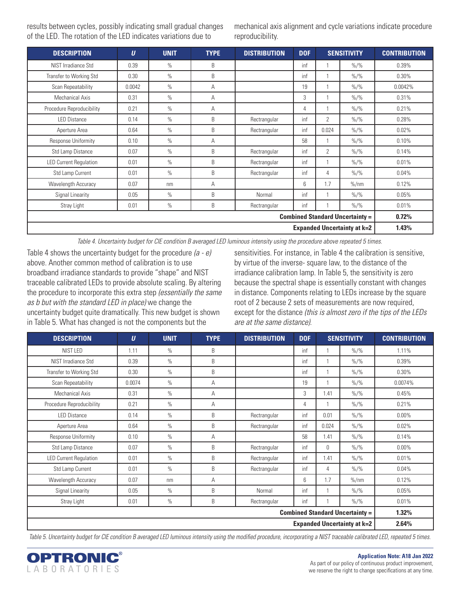results between cycles, possibly indicating small gradual changes of the LED. The rotation of the LED indicates variations due to

mechanical axis alignment and cycle variations indicate procedure reproducibility.

| <b>DESCRIPTION</b>                     | $\boldsymbol{U}$                   | <b>UNIT</b>   | <b>TYPE</b> | <b>DISTRIBUTION</b> | <b>DOF</b> |                | <b>SENSITIVITY</b>        | <b>CONTRIBUTION</b> |  |  |
|----------------------------------------|------------------------------------|---------------|-------------|---------------------|------------|----------------|---------------------------|---------------------|--|--|
| NIST Irradiance Std                    | 0.39                               | $\%$          | B           |                     | inf        |                | $\frac{9}{6}$ /%          | 0.39%               |  |  |
| Transfer to Working Std                | 0.30                               | $\%$          | B           |                     | inf        |                | $\frac{9}{6}$ /%          | 0.30%               |  |  |
| Scan Repeatability                     | 0.0042                             | $\%$          | A           |                     | 19         |                | $\frac{9}{6}/\frac{9}{6}$ | 0.0042%             |  |  |
| Mechanical Axis                        | 0.31                               | $\%$          | A           |                     | 3          |                | $\frac{9}{6}$ /%          | 0.31%               |  |  |
| Procedure Reproducibility              | 0.21                               | $\frac{0}{0}$ | A           |                     | 4          |                | $\frac{9}{6}$ /%          | 0.21%               |  |  |
| <b>LED Distance</b>                    | 0.14                               | $\%$          | B           | Rectrangular        | inf        | $\overline{2}$ | $\frac{9}{6}$ /%          | 0.28%               |  |  |
| Aperture Area                          | 0.64                               | $\%$          | B           | Rectrangular        | inf        | 0.024          | $\frac{9}{6}$ /%          | 0.02%               |  |  |
| Response Uniformity                    | 0.10                               | $\frac{0}{0}$ | A           |                     | 58         |                | $\frac{9}{6}$ /%          | 0.10%               |  |  |
| Std Lamp Distance                      | 0.07                               | $\%$          | B           | Rectrangular        | inf        | 2              | $\frac{9}{6}$ /%          | 0.14%               |  |  |
| <b>LED Current Regulation</b>          | 0.01                               | $\%$          | B           | Rectrangular        | inf        |                | $\frac{9}{6}$ /%          | 0.01%               |  |  |
| Std Lamp Current                       | 0.01                               | $\frac{0}{0}$ | B           | Rectrangular        | inf        | 4              | $\frac{9}{6}$ /%          | 0.04%               |  |  |
| Wavelength Accuracy                    | 0.07                               | nm            | A           |                     | 6          | 1.7            | $\%$ /nm                  | 0.12%               |  |  |
| Signal Linearity                       | 0.05                               | $\frac{0}{0}$ | B           | Normal              | inf        |                | $\frac{9}{6}$ /%          | 0.05%               |  |  |
| Stray Light                            | 0.01                               | $\%$          | B           | Rectrangular        | inf        |                | $\frac{9}{6}$ /%          | 0.01%               |  |  |
| <b>Combined Standard Uncertainty =</b> |                                    |               |             |                     |            |                |                           |                     |  |  |
|                                        | <b>Expanded Uncertainty at k=2</b> |               |             |                     |            |                |                           |                     |  |  |

*Table 4. Uncertainty budget for CIE condition B averaged LED luminous intensity using the procedure above repeated 5 times.*

Table 4 shows the uncertainty budget for the procedure *(a - e)*  above. Another common method of calibration is to use broadband irradiance standards to provide "shape" and NIST traceable calibrated LEDs to provide absolute scaling. By altering the procedure to incorporate this extra step *(essentially the same as b but with the standard LED in place)* we change the uncertainty budget quite dramatically. This new budget is shown in Table 5. What has changed is not the components but the

sensitivities. For instance, in Table 4 the calibration is sensitive, by virtue of the inverse- square law, to the distance of the irradiance calibration lamp. In Table 5, the sensitivity is zero because the spectral shape is essentially constant with changes in distance. Components relating to LEDs increase by the square root of 2 because 2 sets of measurements are now required, except for the distance *(this is almost zero if the tips of the LEDs are at the same distance)*.

| <b>DESCRIPTION</b>                 | $\boldsymbol{U}$                       | <b>UNIT</b>   | <b>TYPE</b> | <b>DISTRIBUTION</b> | <b>DOF</b> | <b>SENSITIVITY</b> |                           | <b>CONTRIBUTION</b> |  |
|------------------------------------|----------------------------------------|---------------|-------------|---------------------|------------|--------------------|---------------------------|---------------------|--|
| NIST LED                           | 1.11                                   | $\frac{0}{0}$ | B           |                     | inf        | 1                  | $\frac{9}{6}$ /%          | 1.11%               |  |
| NIST Irradiance Std                | 0.39                                   | $\frac{0}{0}$ | B           |                     | inf        | 1                  | $\frac{9}{6}$ /%          | 0.39%               |  |
| Transfer to Working Std            | 0.30                                   | $\frac{0}{0}$ | B           |                     | inf        |                    | $\frac{9}{6}$ /%          | 0.30%               |  |
| Scan Repeatability                 | 0.0074                                 | $\frac{0}{0}$ | A           |                     | 19         |                    | $\frac{9}{6}$ /%          | 0.0074%             |  |
| Mechanical Axis                    | 0.31                                   | $\frac{0}{0}$ | A           |                     | 3          | 1.41               | $% /$ %                   | 0.45%               |  |
| Procedure Reproducibility          | 0.21                                   | $\frac{0}{0}$ | A           |                     | 4          |                    | $% /$ %                   | 0.21%               |  |
| <b>LED Distance</b>                | 0.14                                   | $\frac{0}{0}$ | B           | Rectrangular        | inf        | 0.01               | $% /$ %                   | $0.00\%$            |  |
| Aperture Area                      | 0.64                                   | $\frac{0}{0}$ | B           | Rectrangular        | inf        | 0.024              | $\frac{9}{6}/\frac{9}{6}$ | 0.02%               |  |
| Response Uniformity                | 0.10                                   | $\frac{0}{0}$ | A           |                     | 58         | 1.41               | $\frac{9}{6}/\frac{9}{6}$ | 0.14%               |  |
| Std Lamp Distance                  | 0.07                                   | $\frac{0}{0}$ | B           | Rectrangular        | inf        | 0                  | $\frac{9}{6}/\frac{9}{6}$ | $0.00\%$            |  |
| <b>LED Current Regulation</b>      | 0.01                                   | $\frac{0}{0}$ | B           | Rectrangular        | inf        | 1.41               | $\frac{9}{6}$ /%          | 0.01%               |  |
| Std Lamp Current                   | 0.01                                   | $\frac{0}{0}$ | B           | Rectrangular        | inf        | 4                  | $\frac{9}{6}$ /%          | 0.04%               |  |
| Wavelength Accuracy                | 0.07                                   | nm            | A           |                     | 6          | 1.7                | $\frac{\%}{\text{nm}}$    | 0.12%               |  |
| Signal Linearity                   | 0.05                                   | $\frac{0}{0}$ | B           | Normal              | inf        |                    | $\frac{9}{6}$ /%          | 0.05%               |  |
| Stray Light                        | 0.01                                   | $\frac{0}{0}$ | B           | Rectrangular        | inf        |                    | $\frac{9}{6}$ /%          | 0.01%               |  |
|                                    | <b>Combined Standard Uncertainty =</b> |               |             |                     |            |                    |                           |                     |  |
| <b>Expanded Uncertainty at k=2</b> |                                        |               |             |                     |            |                    |                           |                     |  |

*Table 5. Uncertainty budget for CIE condition B averaged LED luminous intensity using the modified procedure, incorporating a NIST traceable calibrated LED, repeated 5 times.*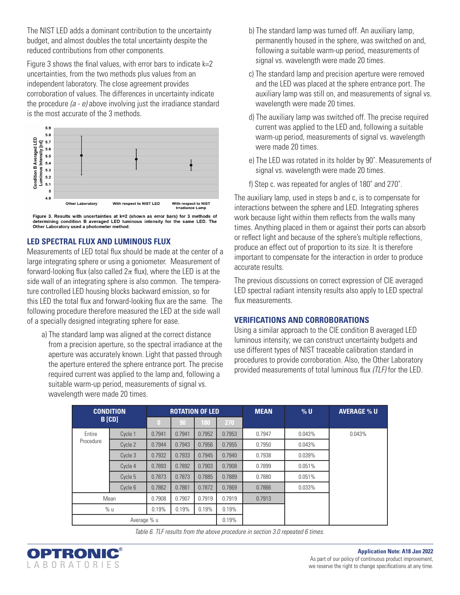The NIST LED adds a dominant contribution to the uncertainty budget, and almost doubles the total uncertainty despite the reduced contributions from other components.

Figure 3 shows the final values, with error bars to indicate k=2 uncertainties, from the two methods plus values from an independent laboratory. The close agreement provides corroboration of values. The differences in uncertainty indicate the procedure *(a - e)* above involving just the irradiance standard is the most accurate of the 3 methods.



Figure 3. Results with uncertainties at k=2 (shown as error bars) for 3 methods of determining condition B averaged LED luminous intensity for the same LED. The Other Laboratory used a photometer method.

## **LED SPECTRAL FLUX AND LUMINOUS FLUX**

Measurements of LED total flux should be made at the center of a large integrating sphere or using a goniometer. Measurement of forward-looking flux (also called  $2\pi$  flux), where the LED is at the side wall of an integrating sphere is also common. The temperature controlled LED housing blocks backward emission, so for this LED the total flux and forward-looking flux are the same. The following procedure therefore measured the LED at the side wall of a specially designed integrating sphere for ease.

 a) The standard lamp was aligned at the correct distance from a precision aperture, so the spectral irradiance at the aperture was accurately known. Light that passed through the aperture entered the sphere entrance port. The precise required current was applied to the lamp and, following a suitable warm-up period, measurements of signal vs. wavelength were made 20 times.

- b) The standard lamp was turned off. An auxiliary lamp, permanently housed in the sphere, was switched on and, following a suitable warm-up period, measurements of signal vs. wavelength were made 20 times.
- c) The standard lamp and precision aperture were removed and the LED was placed at the sphere entrance port. The auxiliary lamp was still on, and measurements of signal vs. wavelength were made 20 times.
- d) The auxiliary lamp was switched off. The precise required current was applied to the LED and, following a suitable warm-up period, measurements of signal vs. wavelength were made 20 times.
- e) The LED was rotated in its holder by 90˚. Measurements of signal vs. wavelength were made 20 times.
- f) Step c. was repeated for angles of 180˚ and 270˚.

The auxiliary lamp, used in steps b and c, is to compensate for interactions between the sphere and LED. Integrating spheres work because light within them reflects from the walls many times. Anything placed in them or against their ports can absorb or reflect light and because of the sphere's multiple reflections, produce an effect out of proportion to its size. It is therefore important to compensate for the interaction in order to produce accurate results.

The previous discussions on correct expression of CIE averaged LED spectral radiant intensity results also apply to LED spectral flux measurements.

## **VERIFICATIONS AND CORROBORATIONS**

Using a similar approach to the CIE condition B averaged LED luminous intensity; we can construct uncertainty budgets and use different types of NIST traceable calibration standard in procedures to provide corroboration. Also, the Other Laboratory provided measurements of total luminous flux *(TLF)* for the LED.

|             | <b>CONDITION</b> |          | <b>ROTATION OF LED</b> |        |        | <b>MEAN</b> | $%$ U  | <b>AVERAGE % U</b> |  |  |  |        |        |        |        |        |  |
|-------------|------------------|----------|------------------------|--------|--------|-------------|--------|--------------------|--|--|--|--------|--------|--------|--------|--------|--|
|             | <b>B</b> [CD]    | $\bf{0}$ | 90                     | 180    | 270    |             |        |                    |  |  |  |        |        |        |        |        |  |
| Entire      | Cycle 1          | 0.7941   | 0.7941                 | 0.7952 | 0.7953 | 0.7947      | 0.043% | 0.043%             |  |  |  |        |        |        |        |        |  |
| Procedure   | Cycle 2          | 0.7944   | 0.7943                 | 0.7956 | 0.7955 | 0.7950      | 0.043% |                    |  |  |  |        |        |        |        |        |  |
|             | Cycle 3          | 0.7932   | 0.7933                 | 0.7945 | 0.7940 | 0.7938      | 0.039% |                    |  |  |  |        |        |        |        |        |  |
|             | Cycle 4          | 0.7893   | 0.7892                 | 0.7903 | 0.7908 | 0.7899      | 0.051% |                    |  |  |  |        |        |        |        |        |  |
|             | Cycle 5          | 0.7873   |                        |        |        |             |        |                    |  |  |  | 0.7873 | 0.7885 | 0.7889 | 0.7880 | 0.051% |  |
|             | Cycle 6          | 0.7862   | 0.7861                 | 0.7872 | 0.7869 | 0.7866      | 0.033% |                    |  |  |  |        |        |        |        |        |  |
|             | Mean             | 0.7908   | 0.7907                 | 0.7919 | 0.7919 | 0.7913      |        |                    |  |  |  |        |        |        |        |        |  |
|             | % u              | 0.19%    | 0.19%                  | 0.19%  | 0.19%  |             |        |                    |  |  |  |        |        |        |        |        |  |
| Average % u |                  |          |                        |        | 0.19%  |             |        |                    |  |  |  |        |        |        |        |        |  |

*Table 6. TLF results from the above procedure in section 3.0 repeated 6 times.*

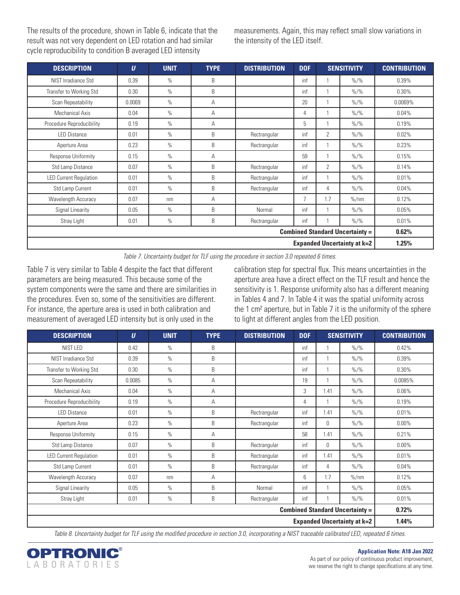The results of the procedure, shown in Table 6, indicate that the result was not very dependent on LED rotation and had similar cycle reproducibility to condition B averaged LED intensity

measurements. Again, this may reflect small slow variations in the intensity of the LED itself.

| <b>DESCRIPTION</b>            | $\boldsymbol{U}$                       | <b>UNIT</b>   | <b>TYPE</b> | <b>DISTRIBUTION</b> | <b>DOF</b>     |                | <b>SENSITIVITY</b>        | <b>CONTRIBUTION</b> |  |  |
|-------------------------------|----------------------------------------|---------------|-------------|---------------------|----------------|----------------|---------------------------|---------------------|--|--|
| NIST Irradiance Std           | 0.39                                   | $\%$          | B           |                     | inf            |                | $\frac{9}{6}/\frac{9}{6}$ | 0.39%               |  |  |
| Transfer to Working Std       | 0.30                                   | $\%$          | B           |                     | inf            | 1              | $\frac{9}{6}/\frac{9}{6}$ | 0.30%               |  |  |
| Scan Repeatability            | 0.0069                                 | $\frac{0}{0}$ | A           |                     | 20             | 1              | $\frac{9}{6}/\frac{9}{6}$ | 0.0069%             |  |  |
| Mechanical Axis               | 0.04                                   | $\%$          | Α           |                     | 4              | 1              | $\frac{9}{6}/\frac{9}{6}$ | 0.04%               |  |  |
| Procedure Reproducibility     | 0.19                                   | $\%$          | Α           |                     | 5              |                | $\frac{9}{6}/\frac{9}{6}$ | 0.19%               |  |  |
| <b>LED Distance</b>           | 0.01                                   | $\%$          | B           | Rectrangular        | inf            | $\overline{2}$ | $\frac{9}{6}/\frac{9}{6}$ | 0.02%               |  |  |
| Aperture Area                 | 0.23                                   | $\%$          | B           | Rectrangular        | inf            |                | $\frac{9}{6}/\frac{9}{6}$ | 0.23%               |  |  |
| Response Uniformity           | 0.15                                   | $\%$          | Α           |                     | 59             | 1              | $\%/$ %                   | 0.15%               |  |  |
| Std Lamp Distance             | 0.07                                   | $\frac{0}{0}$ | B           | Rectrangular        | inf            | $\overline{2}$ | $\frac{9}{6}/\frac{9}{6}$ | 0.14%               |  |  |
| <b>LED Current Regulation</b> | 0.01                                   | $\%$          | B           | Rectrangular        | inf            | 1              | $\frac{9}{6}/\frac{9}{6}$ | 0.01%               |  |  |
| Std Lamp Current              | 0.01                                   | $\%$          | B           | Rectrangular        | inf            | 4              | $\frac{9}{6}/\frac{9}{6}$ | 0.04%               |  |  |
| Wavelength Accuracy           | 0.07                                   | nm            | Α           |                     | $\overline{7}$ | 1.7            | $\frac{9}{6}$ /nm         | 0.12%               |  |  |
| Signal Linearity              | 0.05                                   | $\%$          | B           | Normal              | inf            |                | $\frac{9}{6}/\frac{9}{6}$ | 0.05%               |  |  |
| Stray Light                   | 0.01                                   | $\%$          | B           | Rectrangular        | inf            |                | $\%/$ %                   | 0.01%               |  |  |
|                               | <b>Combined Standard Uncertainty =</b> |               |             |                     |                |                |                           |                     |  |  |
|                               | <b>Expanded Uncertainty at k=2</b>     |               |             |                     |                |                |                           |                     |  |  |

*Table 7. Uncertainty budget for TLF using the procedure in section 3.0 repeated 6 times.*

Table 7 is very similar to Table 4 despite the fact that different parameters are being measured. This because some of the system components were the same and there are similarities in the procedures. Even so, some of the sensitivities are different. For instance, the aperture area is used in both calibration and measurement of averaged LED intensity but is only used in the

calibration step for spectral flux. This means uncertainties in the aperture area have a direct effect on the TLF result and hence the sensitivity is 1. Response uniformity also has a different meaning in Tables 4 and 7. In Table 4 it was the spatial uniformity across the 1 cm² aperture, but in Table 7 it is the uniformity of the sphere to light at different angles from the LED position.

| <b>DESCRIPTION</b>                     | $\boldsymbol{U}$ | <b>UNIT</b>   | <b>TYPE</b> | <b>DISTRIBUTION</b> | <b>DOF</b> | <b>SENSITIVITY</b> |                           | <b>CONTRIBUTION</b> |  |
|----------------------------------------|------------------|---------------|-------------|---------------------|------------|--------------------|---------------------------|---------------------|--|
| NIST LED                               | 0.42             | $\frac{0}{0}$ | B           |                     | inf        |                    | $\frac{9}{6}/\frac{9}{6}$ | 0.42%               |  |
| NIST Irradiance Std                    | 0.39             | $\frac{0}{0}$ | B           |                     | inf        |                    | $\frac{9}{6}$ /%          | 0.39%               |  |
| Transfer to Working Std                | 0.30             | $\frac{0}{0}$ | B           |                     | inf        |                    | $\frac{9}{6}$ /%          | 0.30%               |  |
| Scan Repeatability                     | 0.0085           | $\frac{0}{0}$ | A           |                     | 19         |                    | $\frac{9}{6}$ /%          | 0.0085%             |  |
| Mechanical Axis                        | 0.04             | $\frac{0}{0}$ | A           |                     | 3          | 1.41               | $\frac{9}{6}$ /%          | 0.06%               |  |
| Procedure Reproducibility              | 0.19             | $\frac{0}{0}$ | A           |                     | 4          |                    | $\%/$ %                   | 0.19%               |  |
| <b>LED Distance</b>                    | 0.01             | $\frac{0}{0}$ | B           | Rectrangular        | inf        | 1.41               | $\frac{9}{6}$ /%          | 0.01%               |  |
| Aperture Area                          | 0.23             | $\frac{0}{0}$ | B           | Rectrangular        | inf        | $\mathbf{0}$       | $\frac{9}{6}$ /%          | $0.00\%$            |  |
| Response Uniformity                    | 0.15             | $\frac{0}{0}$ | Α           |                     | 58         | 1.41               | $\frac{9}{6}$ /%          | 0.21%               |  |
| Std Lamp Distance                      | 0.07             | $\frac{0}{0}$ | B           | Rectrangular        | inf        | $\mathbf{0}$       | $\%/$ %                   | $0.00\%$            |  |
| <b>LED Current Regulation</b>          | 0.01             | $\frac{0}{0}$ | B           | Rectrangular        | inf        | 1.41               | $\frac{9}{6}/\frac{9}{6}$ | 0.01%               |  |
| Std Lamp Current                       | 0.01             | $\frac{0}{0}$ | B           | Rectrangular        | inf        | 4                  | $\frac{9}{6}$ /%          | 0.04%               |  |
| Wavelength Accuracy                    | 0.07             | nm            | A           |                     | 6          | 1.7                | % /nm                     | 0.12%               |  |
| Signal Linearity                       | 0.05             | $\frac{0}{0}$ | B           | Normal              | inf        |                    | $\%/$ %                   | 0.05%               |  |
| Stray Light                            | 0.01             | $\frac{0}{0}$ | B           | Rectrangular        | inf        |                    | $\frac{9}{6}$ /%          | 0.01%               |  |
| <b>Combined Standard Uncertainty =</b> |                  |               |             |                     |            |                    |                           |                     |  |
| <b>Expanded Uncertainty at k=2</b>     |                  |               |             |                     |            |                    |                           |                     |  |

*Table 8. Uncertainty budget for TLF using the modified procedure in section 3.0, incorporating a NIST traceable calibrated LED, repeated 6 times.*